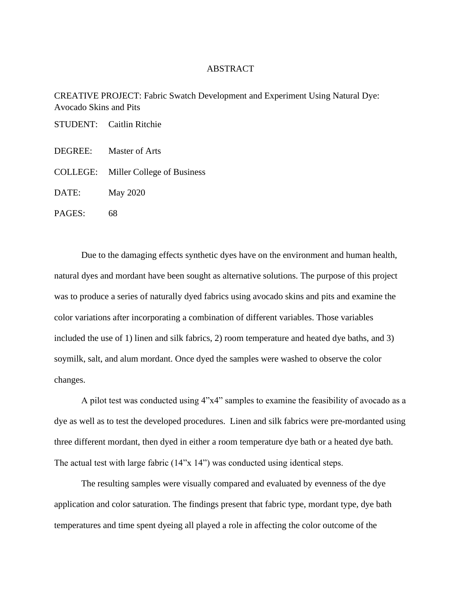## ABSTRACT

CREATIVE PROJECT: Fabric Swatch Development and Experiment Using Natural Dye: Avocado Skins and Pits

|         | STUDENT: Caitlin Ritchie            |
|---------|-------------------------------------|
| DEGREE: | Master of Arts                      |
|         | COLLEGE: Miller College of Business |
| DATE:   | May 2020                            |
| PAGES:  | 68                                  |

Due to the damaging effects synthetic dyes have on the environment and human health, natural dyes and mordant have been sought as alternative solutions. The purpose of this project was to produce a series of naturally dyed fabrics using avocado skins and pits and examine the color variations after incorporating a combination of different variables. Those variables included the use of 1) linen and silk fabrics, 2) room temperature and heated dye baths, and 3) soymilk, salt, and alum mordant. Once dyed the samples were washed to observe the color changes.

A pilot test was conducted using 4"x4" samples to examine the feasibility of avocado as a dye as well as to test the developed procedures. Linen and silk fabrics were pre-mordanted using three different mordant, then dyed in either a room temperature dye bath or a heated dye bath. The actual test with large fabric (14"x 14") was conducted using identical steps.

The resulting samples were visually compared and evaluated by evenness of the dye application and color saturation. The findings present that fabric type, mordant type, dye bath temperatures and time spent dyeing all played a role in affecting the color outcome of the